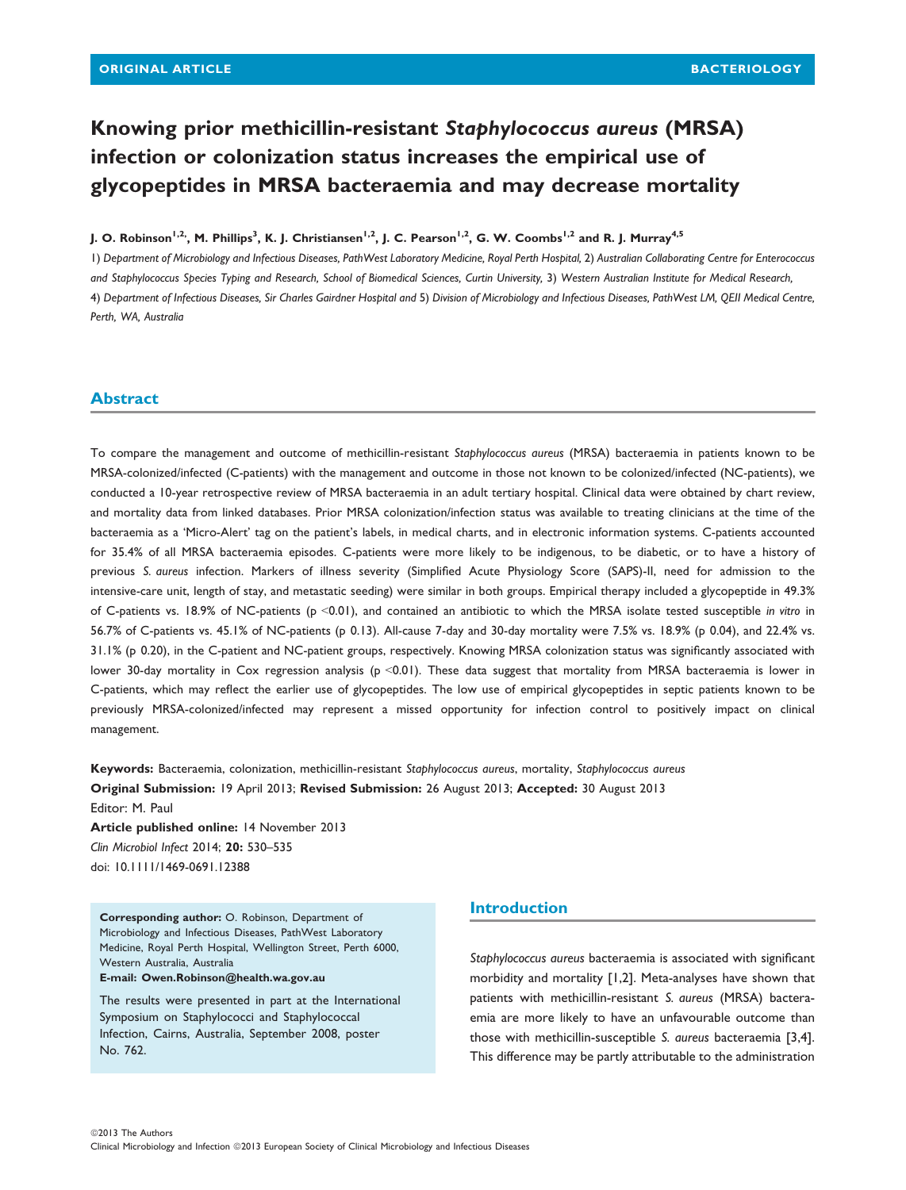# Knowing prior methicillin-resistant Staphylococcus aureus (MRSA) infection or colonization status increases the empirical use of glycopeptides in MRSA bacteraemia and may decrease mortality

J. O. Robinson<sup>1,2,</sup>, M. Phillips<sup>3</sup>, K. J. Christiansen<sup>1,2</sup>, J. C. Pearson<sup>1,2</sup>, G. W. Coombs<sup>1,2</sup> and R. J. Murray<sup>4,5</sup>

1) Department of Microbiology and Infectious Diseases, PathWest Laboratory Medicine, Royal Perth Hospital, 2) Australian Collaborating Centre for Enterococcus and Staphylococcus Species Typing and Research, School of Biomedical Sciences, Curtin University, 3) Western Australian Institute for Medical Research, 4) Department of Infectious Diseases, Sir Charles Gairdner Hospital and 5) Division of Microbiology and Infectious Diseases, PathWest LM, QEII Medical Centre, Perth, WA, Australia

## Abstract

To compare the management and outcome of methicillin-resistant Staphylococcus aureus (MRSA) bacteraemia in patients known to be MRSA-colonized/infected (C-patients) with the management and outcome in those not known to be colonized/infected (NC-patients), we conducted a 10-year retrospective review of MRSA bacteraemia in an adult tertiary hospital. Clinical data were obtained by chart review, and mortality data from linked databases. Prior MRSA colonization/infection status was available to treating clinicians at the time of the bacteraemia as a 'Micro-Alert' tag on the patient's labels, in medical charts, and in electronic information systems. C-patients accounted for 35.4% of all MRSA bacteraemia episodes. C-patients were more likely to be indigenous, to be diabetic, or to have a history of previous S. aureus infection. Markers of illness severity (Simplified Acute Physiology Score (SAPS)-II, need for admission to the intensive-care unit, length of stay, and metastatic seeding) were similar in both groups. Empirical therapy included a glycopeptide in 49.3% of C-patients vs. 18.9% of NC-patients (p <0.01), and contained an antibiotic to which the MRSA isolate tested susceptible in vitro in 56.7% of C-patients vs. 45.1% of NC-patients (p 0.13). All-cause 7-day and 30-day mortality were 7.5% vs. 18.9% (p 0.04), and 22.4% vs. 31.1% (p 0.20), in the C-patient and NC-patient groups, respectively. Knowing MRSA colonization status was significantly associated with lower 30-day mortality in Cox regression analysis (p <0.01). These data suggest that mortality from MRSA bacteraemia is lower in C-patients, which may reflect the earlier use of glycopeptides. The low use of empirical glycopeptides in septic patients known to be previously MRSA-colonized/infected may represent a missed opportunity for infection control to positively impact on clinical management.

Keywords: Bacteraemia, colonization, methicillin-resistant Staphylococcus aureus, mortality, Staphylococcus aureus Original Submission: 19 April 2013; Revised Submission: 26 August 2013; Accepted: 30 August 2013 Editor: M. Paul Article published online: 14 November 2013 Clin Microbiol Infect 2014; 20: 530–535

doi: 10.1111/1469-0691.12388

Corresponding author: O. Robinson, Department of Microbiology and Infectious Diseases, PathWest Laboratory Medicine, Royal Perth Hospital, Wellington Street, Perth 6000, Western Australia, Australia E-mail: Owen.Robinson@health.wa.gov.au

The results were presented in part at the International Symposium on Staphylococci and Staphylococcal Infection, Cairns, Australia, September 2008, poster No. 762.

# Introduction

Staphylococcus aureus bacteraemia is associated with significant morbidity and mortality [1,2]. Meta-analyses have shown that patients with methicillin-resistant S. aureus (MRSA) bacteraemia are more likely to have an unfavourable outcome than those with methicillin-susceptible S. aureus bacteraemia [3,4]. This difference may be partly attributable to the administration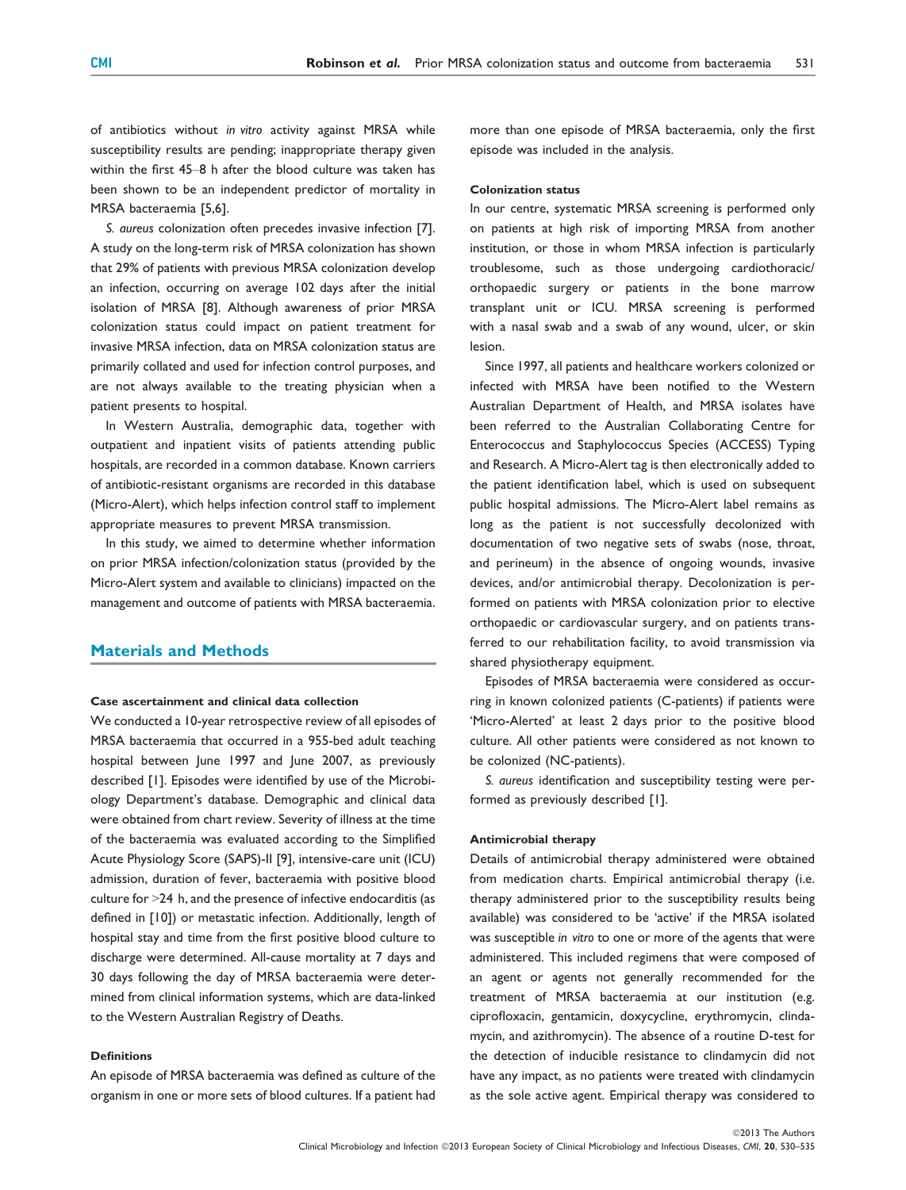of antibiotics without in vitro activity against MRSA while susceptibility results are pending; inappropriate therapy given within the first 45–8 h after the blood culture was taken has been shown to be an independent predictor of mortality in MRSA bacteraemia [5,6].

S. aureus colonization often precedes invasive infection [7]. A study on the long-term risk of MRSA colonization has shown that 29% of patients with previous MRSA colonization develop an infection, occurring on average 102 days after the initial isolation of MRSA [8]. Although awareness of prior MRSA colonization status could impact on patient treatment for invasive MRSA infection, data on MRSA colonization status are primarily collated and used for infection control purposes, and are not always available to the treating physician when a patient presents to hospital.

In Western Australia, demographic data, together with outpatient and inpatient visits of patients attending public hospitals, are recorded in a common database. Known carriers of antibiotic-resistant organisms are recorded in this database (Micro-Alert), which helps infection control staff to implement appropriate measures to prevent MRSA transmission.

In this study, we aimed to determine whether information on prior MRSA infection/colonization status (provided by the Micro-Alert system and available to clinicians) impacted on the management and outcome of patients with MRSA bacteraemia.

# Materials and Methods

### Case ascertainment and clinical data collection

We conducted a 10-year retrospective review of all episodes of MRSA bacteraemia that occurred in a 955-bed adult teaching hospital between June 1997 and June 2007, as previously described [1]. Episodes were identified by use of the Microbiology Department's database. Demographic and clinical data were obtained from chart review. Severity of illness at the time of the bacteraemia was evaluated according to the Simplified Acute Physiology Score (SAPS)-II [9], intensive-care unit (ICU) admission, duration of fever, bacteraemia with positive blood culture for >24 h, and the presence of infective endocarditis (as defined in [10]) or metastatic infection. Additionally, length of hospital stay and time from the first positive blood culture to discharge were determined. All-cause mortality at 7 days and 30 days following the day of MRSA bacteraemia were determined from clinical information systems, which are data-linked to the Western Australian Registry of Deaths.

### **Definitions**

An episode of MRSA bacteraemia was defined as culture of the organism in one or more sets of blood cultures. If a patient had

more than one episode of MRSA bacteraemia, only the first episode was included in the analysis.

## Colonization status

In our centre, systematic MRSA screening is performed only on patients at high risk of importing MRSA from another institution, or those in whom MRSA infection is particularly troublesome, such as those undergoing cardiothoracic/ orthopaedic surgery or patients in the bone marrow transplant unit or ICU. MRSA screening is performed with a nasal swab and a swab of any wound, ulcer, or skin lesion.

Since 1997, all patients and healthcare workers colonized or infected with MRSA have been notified to the Western Australian Department of Health, and MRSA isolates have been referred to the Australian Collaborating Centre for Enterococcus and Staphylococcus Species (ACCESS) Typing and Research. A Micro-Alert tag is then electronically added to the patient identification label, which is used on subsequent public hospital admissions. The Micro-Alert label remains as long as the patient is not successfully decolonized with documentation of two negative sets of swabs (nose, throat, and perineum) in the absence of ongoing wounds, invasive devices, and/or antimicrobial therapy. Decolonization is performed on patients with MRSA colonization prior to elective orthopaedic or cardiovascular surgery, and on patients transferred to our rehabilitation facility, to avoid transmission via shared physiotherapy equipment.

Episodes of MRSA bacteraemia were considered as occurring in known colonized patients (C-patients) if patients were 'Micro-Alerted' at least 2 days prior to the positive blood culture. All other patients were considered as not known to be colonized (NC-patients).

S. aureus identification and susceptibility testing were performed as previously described [1].

#### Antimicrobial therapy

Details of antimicrobial therapy administered were obtained from medication charts. Empirical antimicrobial therapy (i.e. therapy administered prior to the susceptibility results being available) was considered to be 'active' if the MRSA isolated was susceptible in vitro to one or more of the agents that were administered. This included regimens that were composed of an agent or agents not generally recommended for the treatment of MRSA bacteraemia at our institution (e.g. ciprofloxacin, gentamicin, doxycycline, erythromycin, clindamycin, and azithromycin). The absence of a routine D-test for the detection of inducible resistance to clindamycin did not have any impact, as no patients were treated with clindamycin as the sole active agent. Empirical therapy was considered to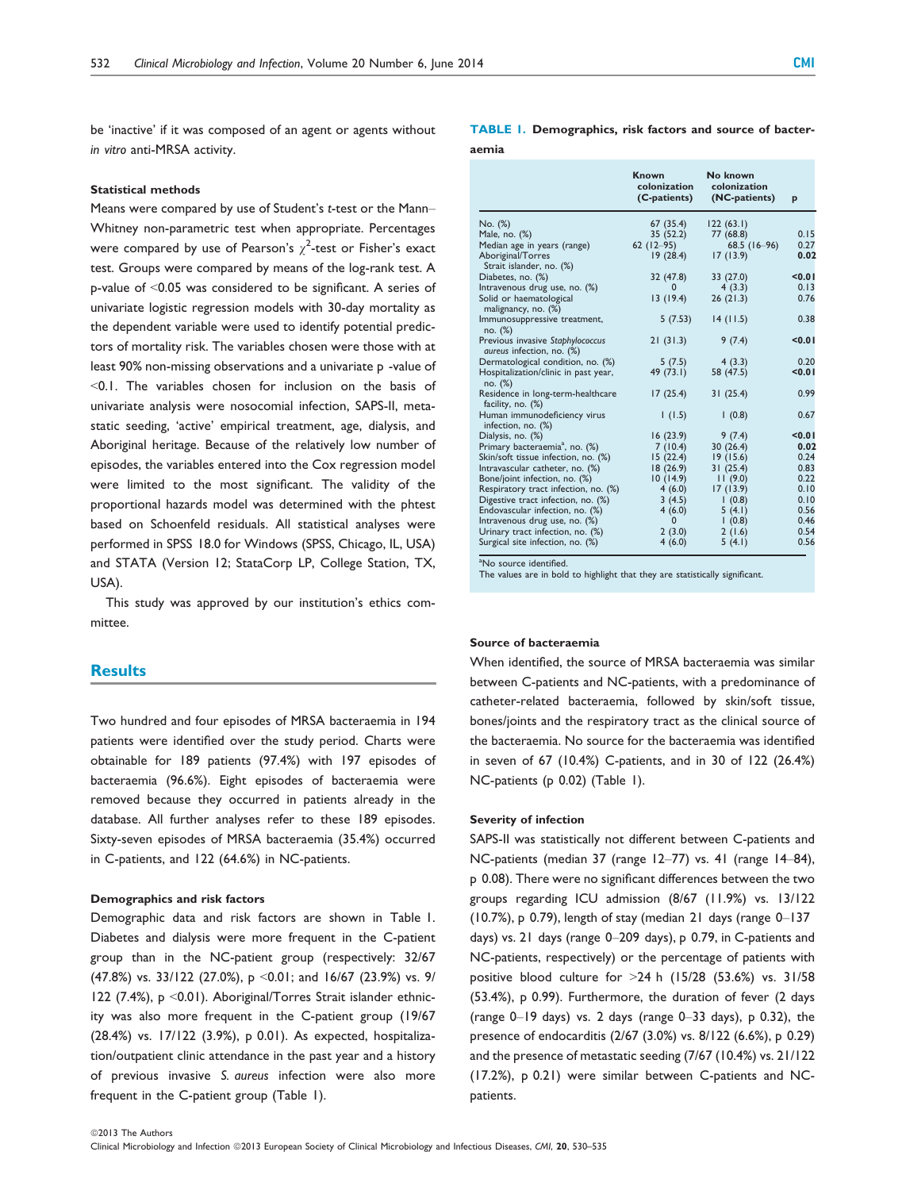be 'inactive' if it was composed of an agent or agents without in vitro anti-MRSA activity.

### Statistical methods

Means were compared by use of Student's t-test or the Mann– Whitney non-parametric test when appropriate. Percentages were compared by use of Pearson's  $\chi^2$ -test or Fisher's exact test. Groups were compared by means of the log-rank test. A p-value of <0.05 was considered to be significant. A series of univariate logistic regression models with 30-day mortality as the dependent variable were used to identify potential predictors of mortality risk. The variables chosen were those with at least 90% non-missing observations and a univariate p -value of <0.1. The variables chosen for inclusion on the basis of univariate analysis were nosocomial infection, SAPS-II, metastatic seeding, 'active' empirical treatment, age, dialysis, and Aboriginal heritage. Because of the relatively low number of episodes, the variables entered into the Cox regression model were limited to the most significant. The validity of the proportional hazards model was determined with the phtest based on Schoenfeld residuals. All statistical analyses were performed in SPSS 18.0 for Windows (SPSS, Chicago, IL, USA) and STATA (Version 12; StataCorp LP, College Station, TX, USA).

This study was approved by our institution's ethics committee.

# **Results**

Two hundred and four episodes of MRSA bacteraemia in 194 patients were identified over the study period. Charts were obtainable for 189 patients (97.4%) with 197 episodes of bacteraemia (96.6%). Eight episodes of bacteraemia were removed because they occurred in patients already in the database. All further analyses refer to these 189 episodes. Sixty-seven episodes of MRSA bacteraemia (35.4%) occurred in C-patients, and 122 (64.6%) in NC-patients.

## Demographics and risk factors

Demographic data and risk factors are shown in Table 1. Diabetes and dialysis were more frequent in the C-patient group than in the NC-patient group (respectively: 32/67 (47.8%) vs. 33/122 (27.0%), p <0.01; and 16/67 (23.9%) vs. 9/ 122 (7.4%), p <0.01). Aboriginal/Torres Strait islander ethnicity was also more frequent in the C-patient group (19/67 (28.4%) vs. 17/122 (3.9%), p 0.01). As expected, hospitalization/outpatient clinic attendance in the past year and a history of previous invasive S. aureus infection were also more frequent in the C-patient group (Table 1).

TABLE 1. Demographics, risk factors and source of bacteraemia

|                                                                      | Known<br>colonization<br>(C-patients) | No known<br>colonization<br>(NC-patients) | p      |
|----------------------------------------------------------------------|---------------------------------------|-------------------------------------------|--------|
| No. (%)                                                              | 67(35.4)                              | 122(63.1)                                 |        |
| Male, no. (%)                                                        | 35(52.2)                              | 77 (68.8)                                 | 0.15   |
| Median age in years (range)                                          | $62$ (12-95)                          | 68.5 $(16-96)$                            | 0.27   |
| Aboriginal/Torres                                                    | 19(28.4)                              | 17(13.9)                                  | 0.02   |
| Strait islander, no. (%)                                             |                                       |                                           |        |
| Diabetes, no. (%)                                                    | 32 (47.8)                             | 33 (27.0)                                 | < 0.01 |
| Intravenous drug use, no. (%)                                        | 0                                     | 4(3.3)                                    | 0.13   |
| Solid or haematological                                              | 13(19.4)                              | 26(21.3)                                  | 0.76   |
| malignancy, no. (%)                                                  |                                       |                                           |        |
| Immunosuppressive treatment,<br>no. (%)                              | 5(7.53)                               | 14(11.5)                                  | 0.38   |
| Previous invasive Staphylococcus<br><i>aureus</i> infection, no. (%) | 21(31.3)                              | 9(7.4)                                    | < 0.01 |
| Dermatological condition, no. (%)                                    | 5(7.5)                                | 4(3.3)                                    | 0.20   |
| Hospitalization/clinic in past year,<br>no. (%)                      | 49 (73.1)                             | 58 (47.5)                                 | < 0.01 |
| Residence in long-term-healthcare<br>facility, no. (%)               | 17(25.4)                              | 31(25.4)                                  | 0.99   |
| Human immunodeficiency virus<br>infection, no. (%)                   | 1(1.5)                                | (0.8)                                     | 0.67   |
| Dialysis, no. (%)                                                    | 16(23.9)                              | 9(7.4)                                    | < 0.01 |
| Primary bacteraemia <sup>a</sup> , no. (%)                           | 7(10.4)                               | 30(26.4)                                  | 0.02   |
| Skin/soft tissue infection, no. (%)                                  | 15(22.4)                              | 19(15.6)                                  | 0.24   |
| Intravascular catheter, no. (%)                                      | 18(26.9)                              | 31(25.4)                                  | 0.83   |
| Bone/joint infection, no. (%)                                        | 10(14.9)                              | 11(9.0)                                   | 0.22   |
| Respiratory tract infection, no. (%)                                 | 4(6.0)                                | 17(13.9)                                  | 0.10   |
| Digestive tract infection, no. (%)                                   | 3(4.5)                                | (0.8)                                     | 0.10   |
| Endovascular infection, no. (%)                                      | 4(6.0)                                | 5(4.1)                                    | 0.56   |
| Intravenous drug use, no. (%)                                        | $\Omega$                              | (0.8)                                     | 0.46   |
| Urinary tract infection, no. (%)                                     | 2(3.0)                                | 2(1.6)                                    | 0.54   |
| Surgical site infection, no. (%)                                     | 4(6.0)                                | 5(4.1)                                    | 0.56   |

<sup>a</sup>No source identified.

The values are in bold to highlight that they are statistically significant.

### Source of bacteraemia

When identified, the source of MRSA bacteraemia was similar between C-patients and NC-patients, with a predominance of catheter-related bacteraemia, followed by skin/soft tissue, bones/joints and the respiratory tract as the clinical source of the bacteraemia. No source for the bacteraemia was identified in seven of 67 (10.4%) C-patients, and in 30 of 122 (26.4%) NC-patients (p 0.02) (Table 1).

#### Severity of infection

SAPS-II was statistically not different between C-patients and NC-patients (median 37 (range 12–77) vs. 41 (range 14–84), p 0.08). There were no significant differences between the two groups regarding ICU admission (8/67 (11.9%) vs. 13/122 (10.7%), p 0.79), length of stay (median 21 days (range 0–137 days) vs. 21 days (range 0–209 days), p 0.79, in C-patients and NC-patients, respectively) or the percentage of patients with positive blood culture for >24 h (15/28 (53.6%) vs. 31/58 (53.4%), p 0.99). Furthermore, the duration of fever (2 days (range 0–19 days) vs. 2 days (range 0–33 days), p 0.32), the presence of endocarditis (2/67 (3.0%) vs. 8/122 (6.6%), p 0.29) and the presence of metastatic seeding (7/67 (10.4%) vs. 21/122 (17.2%), p 0.21) were similar between C-patients and NCpatients.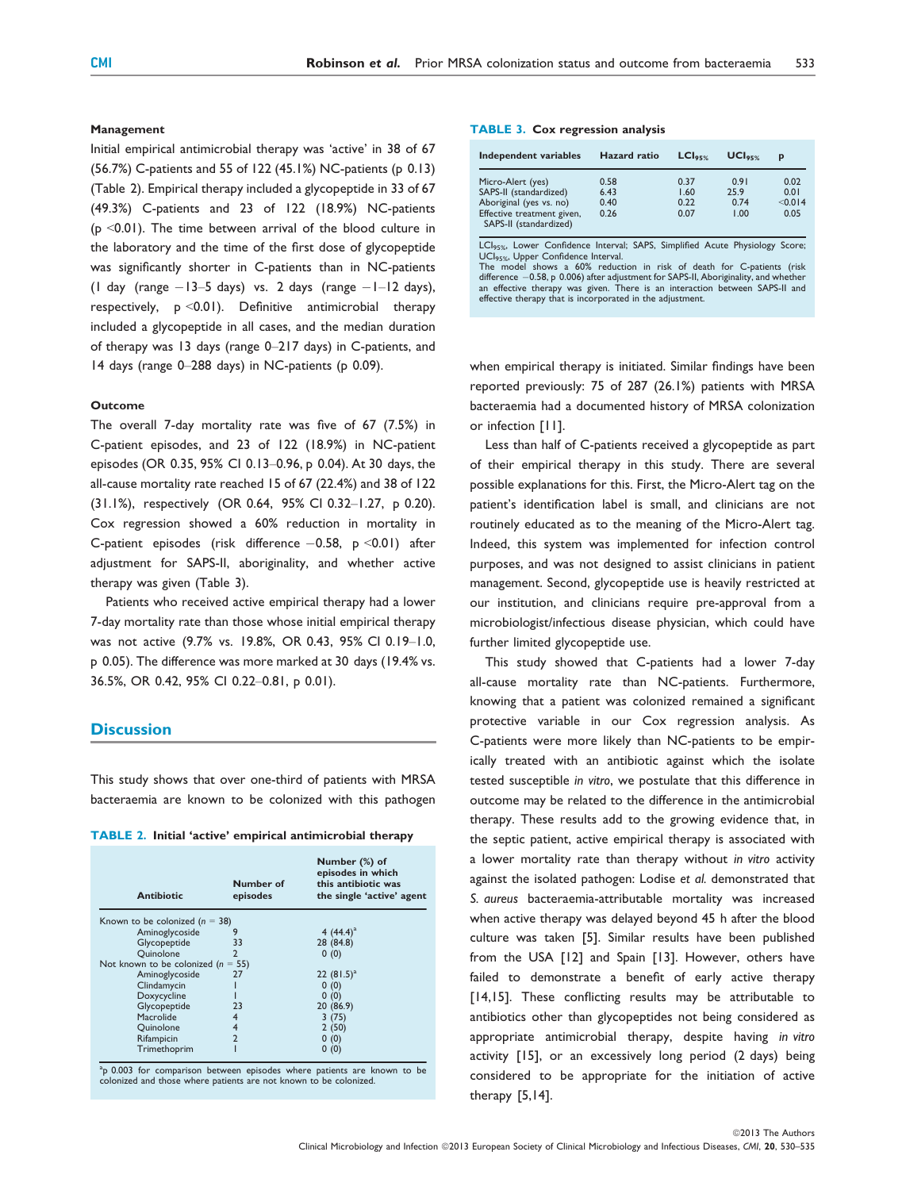## Management

Initial empirical antimicrobial therapy was 'active' in 38 of 67 (56.7%) C-patients and 55 of 122 (45.1%) NC-patients (p 0.13) (Table 2). Empirical therapy included a glycopeptide in 33 of 67 (49.3%) C-patients and 23 of 122 (18.9%) NC-patients (p <0.01). The time between arrival of the blood culture in the laboratory and the time of the first dose of glycopeptide was significantly shorter in C-patients than in NC-patients (1 day (range -13–5 days) vs. 2 days (range -1–12 days), respectively, p <0.01). Definitive antimicrobial therapy included a glycopeptide in all cases, and the median duration of therapy was 13 days (range 0–217 days) in C-patients, and 14 days (range 0–288 days) in NC-patients (p 0.09).

## **Outcome**

The overall 7-day mortality rate was five of 67 (7.5%) in C-patient episodes, and 23 of 122 (18.9%) in NC-patient episodes (OR 0.35, 95% CI 0.13–0.96, p 0.04). At 30 days, the all-cause mortality rate reached 15 of 67 (22.4%) and 38 of 122 (31.1%), respectively (OR 0.64, 95% CI 0.32–1.27, p 0.20). Cox regression showed a 60% reduction in mortality in  $C$ -patient episodes (risk difference  $-0.58$ , p $\leq 0.01$ ) after adjustment for SAPS-II, aboriginality, and whether active therapy was given (Table 3).

Patients who received active empirical therapy had a lower 7-day mortality rate than those whose initial empirical therapy was not active (9.7% vs. 19.8%, OR 0.43, 95% CI 0.19–1.0, p 0.05). The difference was more marked at 30 days (19.4% vs. 36.5%, OR 0.42, 95% CI 0.22–0.81, p 0.01).

## **Discussion**

This study shows that over one-third of patients with MRSA bacteraemia are known to be colonized with this pathogen

TABLE 2. Initial 'active' empirical antimicrobial therapy

|                                        |                | the single 'active' agent |
|----------------------------------------|----------------|---------------------------|
| Known to be colonized ( $n = 38$ )     |                |                           |
| Aminoglycoside                         | 9              | 4 $(44.4)^{a}$            |
| Glycopeptide                           | 33             | 28 (84.8)                 |
| Ouinolone                              | $\mathcal{P}$  | 0(0)                      |
| Not known to be colonized ( $n = 55$ ) |                |                           |
| Aminoglycoside                         | 27             | $22 (81.5)^{a}$           |
| Clindamycin                            |                | 0(0)                      |
| Doxycycline                            |                | 0(0)                      |
| Glycopeptide                           | 23             | 20(86.9)                  |
| Macrolide                              | 4              | 3(75)                     |
| Quinolone                              | 4              | 2(50)                     |
| Rifampicin                             | $\overline{2}$ | 0(0)                      |
| Trimethoprim                           |                | 0(0)                      |

<sup>a</sup>p 0.003 for comparison between episodes where patients are known to be colonized and those where patients are not known to be colonized.

#### TABLE 3. Cox regression analysis

|      |      | p       |
|------|------|---------|
| 0.37 | 0.91 | 0.02    |
| 1.60 | 25.9 | 0.01    |
| 0.22 | 0.74 | < 0.014 |
| 0.07 | 1.00 | 0.05    |
|      |      |         |

Cl<sub>95%</sub>, Lower Confidence Interval; SAPS, Simplified Acute Physiology Score; UCI95%, Upper Confidence Interval. The model shows a 60% reduction in risk of death for C-patients (risk difference -0.58, p 0.006) after adjustment for SAPS-II, Aboriginality, and whether an effective therapy was given. There is an interaction between SAPS-II and effective therapy that is incorporated in the adjustment.

when empirical therapy is initiated. Similar findings have been reported previously: 75 of 287 (26.1%) patients with MRSA bacteraemia had a documented history of MRSA colonization or infection [11].

Less than half of C-patients received a glycopeptide as part of their empirical therapy in this study. There are several possible explanations for this. First, the Micro-Alert tag on the patient's identification label is small, and clinicians are not routinely educated as to the meaning of the Micro-Alert tag. Indeed, this system was implemented for infection control purposes, and was not designed to assist clinicians in patient management. Second, glycopeptide use is heavily restricted at our institution, and clinicians require pre-approval from a microbiologist/infectious disease physician, which could have further limited glycopeptide use.

This study showed that C-patients had a lower 7-day all-cause mortality rate than NC-patients. Furthermore, knowing that a patient was colonized remained a significant protective variable in our Cox regression analysis. As C-patients were more likely than NC-patients to be empirically treated with an antibiotic against which the isolate tested susceptible in vitro, we postulate that this difference in outcome may be related to the difference in the antimicrobial therapy. These results add to the growing evidence that, in the septic patient, active empirical therapy is associated with a lower mortality rate than therapy without in vitro activity against the isolated pathogen: Lodise et al. demonstrated that S. aureus bacteraemia-attributable mortality was increased when active therapy was delayed beyond 45 h after the blood culture was taken [5]. Similar results have been published from the USA [12] and Spain [13]. However, others have failed to demonstrate a benefit of early active therapy [14,15]. These conflicting results may be attributable to antibiotics other than glycopeptides not being considered as appropriate antimicrobial therapy, despite having in vitro activity [15], or an excessively long period (2 days) being considered to be appropriate for the initiation of active therapy [5,14].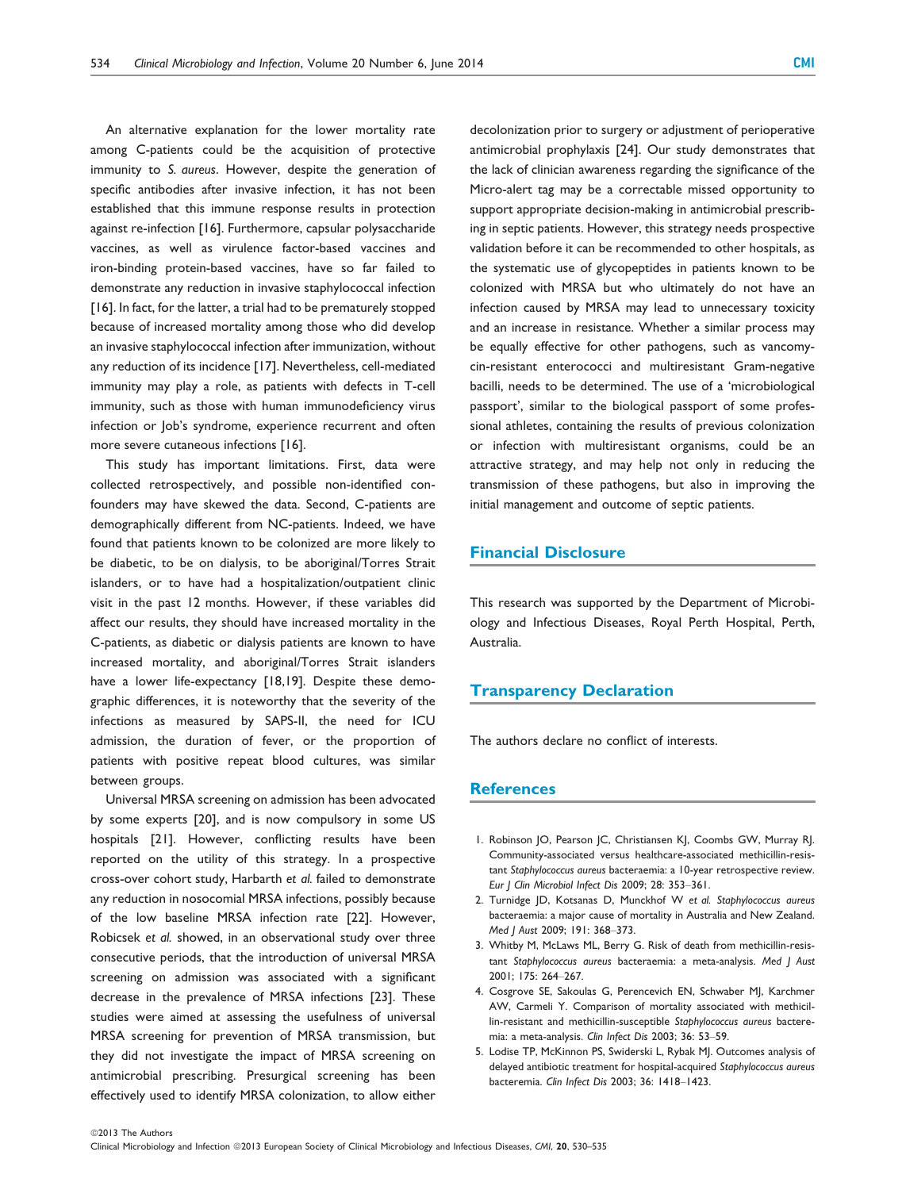An alternative explanation for the lower mortality rate among C-patients could be the acquisition of protective immunity to S. aureus. However, despite the generation of specific antibodies after invasive infection, it has not been established that this immune response results in protection against re-infection [16]. Furthermore, capsular polysaccharide vaccines, as well as virulence factor-based vaccines and iron-binding protein-based vaccines, have so far failed to demonstrate any reduction in invasive staphylococcal infection [16]. In fact, for the latter, a trial had to be prematurely stopped because of increased mortality among those who did develop an invasive staphylococcal infection after immunization, without any reduction of its incidence [17]. Nevertheless, cell-mediated immunity may play a role, as patients with defects in T-cell immunity, such as those with human immunodeficiency virus infection or Job's syndrome, experience recurrent and often more severe cutaneous infections [16].

This study has important limitations. First, data were collected retrospectively, and possible non-identified confounders may have skewed the data. Second, C-patients are demographically different from NC-patients. Indeed, we have found that patients known to be colonized are more likely to be diabetic, to be on dialysis, to be aboriginal/Torres Strait islanders, or to have had a hospitalization/outpatient clinic visit in the past 12 months. However, if these variables did affect our results, they should have increased mortality in the C-patients, as diabetic or dialysis patients are known to have increased mortality, and aboriginal/Torres Strait islanders have a lower life-expectancy [18,19]. Despite these demographic differences, it is noteworthy that the severity of the infections as measured by SAPS-II, the need for ICU admission, the duration of fever, or the proportion of patients with positive repeat blood cultures, was similar between groups.

Universal MRSA screening on admission has been advocated by some experts [20], and is now compulsory in some US hospitals [21]. However, conflicting results have been reported on the utility of this strategy. In a prospective cross-over cohort study, Harbarth et al. failed to demonstrate any reduction in nosocomial MRSA infections, possibly because of the low baseline MRSA infection rate [22]. However, Robicsek et al. showed, in an observational study over three consecutive periods, that the introduction of universal MRSA screening on admission was associated with a significant decrease in the prevalence of MRSA infections [23]. These studies were aimed at assessing the usefulness of universal MRSA screening for prevention of MRSA transmission, but they did not investigate the impact of MRSA screening on antimicrobial prescribing. Presurgical screening has been effectively used to identify MRSA colonization, to allow either

decolonization prior to surgery or adjustment of perioperative antimicrobial prophylaxis [24]. Our study demonstrates that the lack of clinician awareness regarding the significance of the Micro-alert tag may be a correctable missed opportunity to support appropriate decision-making in antimicrobial prescribing in septic patients. However, this strategy needs prospective validation before it can be recommended to other hospitals, as the systematic use of glycopeptides in patients known to be colonized with MRSA but who ultimately do not have an infection caused by MRSA may lead to unnecessary toxicity and an increase in resistance. Whether a similar process may be equally effective for other pathogens, such as vancomycin-resistant enterococci and multiresistant Gram-negative bacilli, needs to be determined. The use of a 'microbiological passport', similar to the biological passport of some professional athletes, containing the results of previous colonization or infection with multiresistant organisms, could be an attractive strategy, and may help not only in reducing the transmission of these pathogens, but also in improving the initial management and outcome of septic patients.

# Financial Disclosure

This research was supported by the Department of Microbiology and Infectious Diseases, Royal Perth Hospital, Perth, Australia.

# Transparency Declaration

The authors declare no conflict of interests.

# **References**

- 1. Robinson JO, Pearson JC, Christiansen KJ, Coombs GW, Murray RJ. Community-associated versus healthcare-associated methicillin-resistant Staphylococcus aureus bacteraemia: a 10-year retrospective review. Eur J Clin Microbiol Infect Dis 2009; 28: 353–361.
- 2. Turnidge JD, Kotsanas D, Munckhof W et al. Staphylococcus aureus bacteraemia: a major cause of mortality in Australia and New Zealand. Med J Aust 2009; 191: 368–373.
- 3. Whitby M, McLaws ML, Berry G. Risk of death from methicillin-resistant Staphylococcus aureus bacteraemia: a meta-analysis. Med J Aust 2001; 175: 264–267.
- 4. Cosgrove SE, Sakoulas G, Perencevich EN, Schwaber MJ, Karchmer AW, Carmeli Y. Comparison of mortality associated with methicillin-resistant and methicillin-susceptible Staphylococcus aureus bacteremia: a meta-analysis. Clin Infect Dis 2003; 36: 53–59.
- 5. Lodise TP, McKinnon PS, Swiderski L, Rybak MJ. Outcomes analysis of delayed antibiotic treatment for hospital-acquired Staphylococcus aureus bacteremia. Clin Infect Dis 2003; 36: 1418–1423.